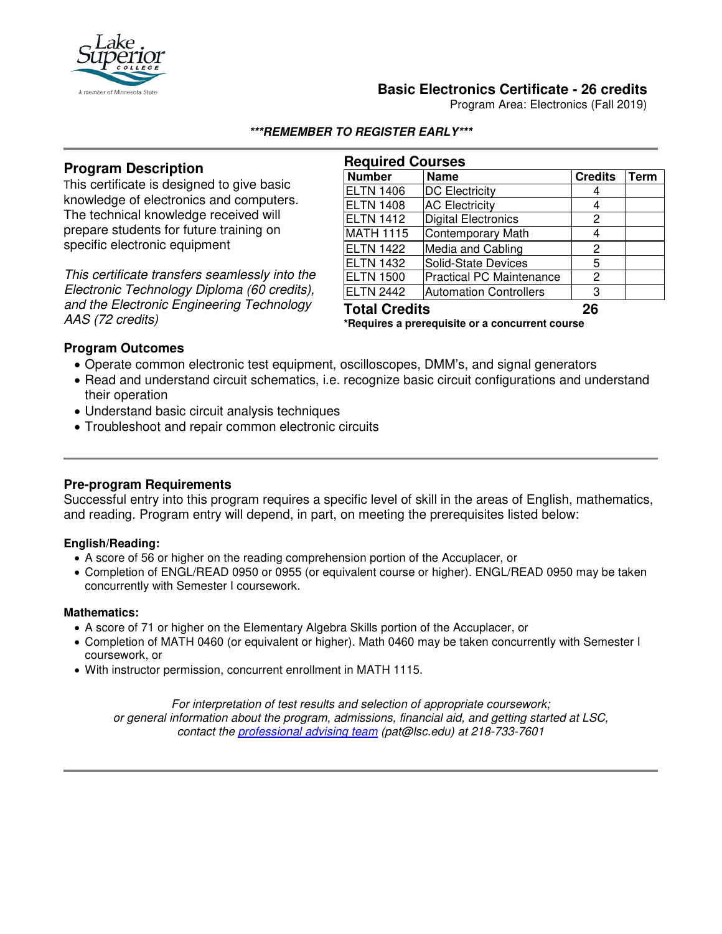

## **Basic Electronics Certificate - 26 credits**

Program Area: Electronics (Fall 2019)

#### **\*\*\*REMEMBER TO REGISTER EARLY\*\*\***

# **Program Description**

This certificate is designed to give basic knowledge of electronics and computers. The technical knowledge received will prepare students for future training on specific electronic equipment

*This certificate transfers seamlessly into the Electronic Technology Diploma (60 credits), and the Electronic Engineering Technology AAS (72 credits)*

| <b>Required Courses</b>                         |                                 |                |             |
|-------------------------------------------------|---------------------------------|----------------|-------------|
| <b>Number</b>                                   | <b>Name</b>                     | <b>Credits</b> | <b>Term</b> |
| <b>ELTN 1406</b>                                | <b>DC Electricity</b>           | 4              |             |
| <b>ELTN 1408</b>                                | <b>AC Electricity</b>           | 4              |             |
| <b>ELTN 1412</b>                                | <b>Digital Electronics</b>      | 2              |             |
| <b>MATH 1115</b>                                | Contemporary Math               | 4              |             |
| <b>ELTN 1422</b>                                | Media and Cabling               | 2              |             |
| <b>ELTN 1432</b>                                | Solid-State Devices             | 5              |             |
| <b>ELTN 1500</b>                                | <b>Practical PC Maintenance</b> | 2              |             |
| <b>ELTN 2442</b>                                | <b>Automation Controllers</b>   | 3              |             |
| <b>Total Credits</b>                            |                                 | 26             |             |
| *Requires a prerequisite or a concurrent course |                                 |                |             |

## **Program Outcomes**

- Operate common electronic test equipment, oscilloscopes, DMM's, and signal generators
- Read and understand circuit schematics, i.e. recognize basic circuit configurations and understand their operation
- Understand basic circuit analysis techniques
- Troubleshoot and repair common electronic circuits

## **Pre-program Requirements**

Successful entry into this program requires a specific level of skill in the areas of English, mathematics, and reading. Program entry will depend, in part, on meeting the prerequisites listed below:

#### **English/Reading:**

- A score of 56 or higher on the reading comprehension portion of the Accuplacer, or
- Completion of ENGL/READ 0950 or 0955 (or equivalent course or higher). ENGL/READ 0950 may be taken concurrently with Semester I coursework.

#### **Mathematics:**

- A score of 71 or higher on the Elementary Algebra Skills portion of the Accuplacer, or
- Completion of MATH 0460 (or equivalent or higher). Math 0460 may be taken concurrently with Semester I coursework, or
- With instructor permission, concurrent enrollment in MATH 1115.

*For interpretation of test results and selection of appropriate coursework; or general information about the program, admissions, financial aid, and getting started at LSC, contact the [professional advising team](mailto:pat@lsc.edu) (pat@lsc.edu) at 218-733-7601*